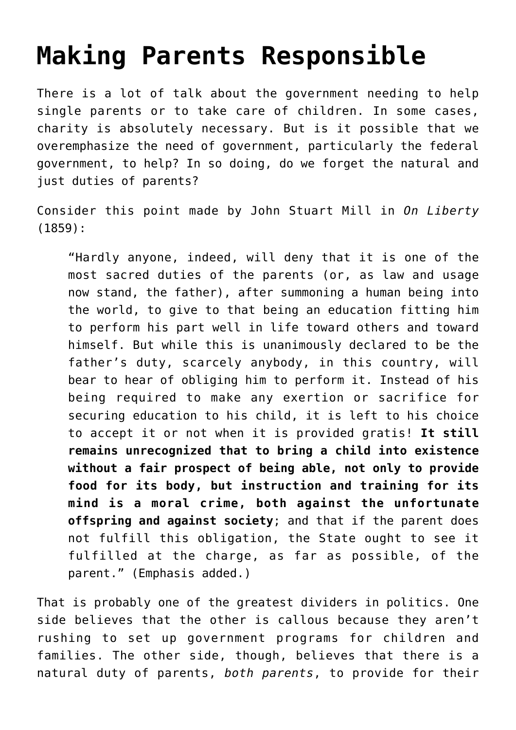## **[Making Parents Responsible](https://intellectualtakeout.org/2015/09/making-parents-responsible/)**

There is a lot of talk about the government needing to help single parents or to take care of children. In some cases, charity is absolutely necessary. But is it possible that we overemphasize the need of government, particularly the federal government, to help? In so doing, do we forget the natural and just duties of parents?

Consider this point made by John Stuart Mill in *On Liberty* (1859):

"Hardly anyone, indeed, will deny that it is one of the most sacred duties of the parents (or, as law and usage now stand, the father), after summoning a human being into the world, to give to that being an education fitting him to perform his part well in life toward others and toward himself. But while this is unanimously declared to be the father's duty, scarcely anybody, in this country, will bear to hear of obliging him to perform it. Instead of his being required to make any exertion or sacrifice for securing education to his child, it is left to his choice to accept it or not when it is provided gratis! **It still remains unrecognized that to bring a child into existence without a fair prospect of being able, not only to provide food for its body, but instruction and training for its mind is a moral crime, both against the unfortunate offspring and against society**; and that if the parent does not fulfill this obligation, the State ought to see it fulfilled at the charge, as far as possible, of the parent." (Emphasis added.)

That is probably one of the greatest dividers in politics. One side believes that the other is callous because they aren't rushing to set up government programs for children and families. The other side, though, believes that there is a natural duty of parents, *both parents*, to provide for their